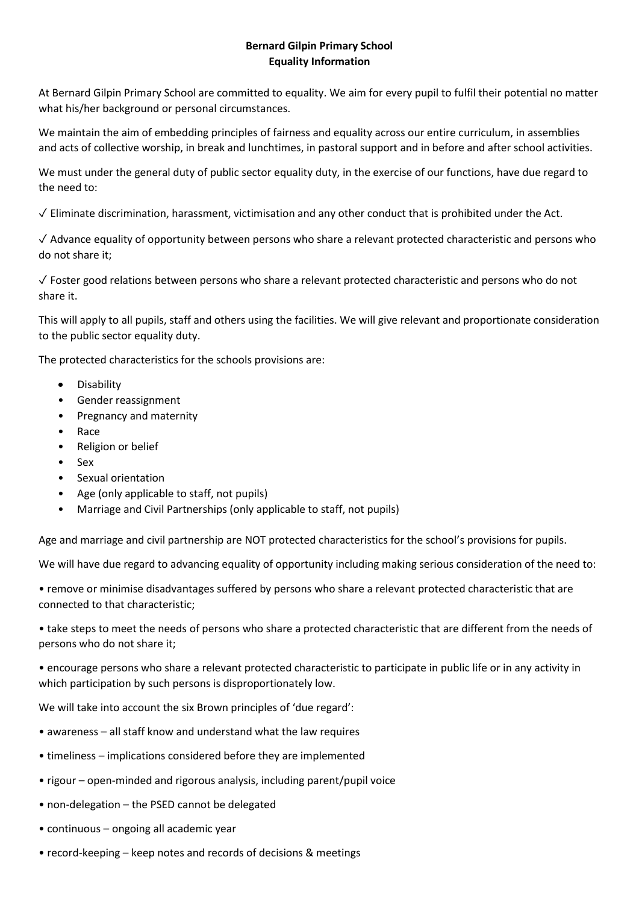## **Bernard Gilpin Primary School Equality Information**

At Bernard Gilpin Primary School are committed to equality. We aim for every pupil to fulfil their potential no matter what his/her background or personal circumstances.

We maintain the aim of embedding principles of fairness and equality across our entire curriculum, in assemblies and acts of collective worship, in break and lunchtimes, in pastoral support and in before and after school activities.

We must under the general duty of public sector equality duty, in the exercise of our functions, have due regard to the need to:

 $\sqrt{\frac{1}{1}}$  Eliminate discrimination, harassment, victimisation and any other conduct that is prohibited under the Act.

✓ Advance equality of opportunity between persons who share a relevant protected characteristic and persons who do not share it;

✓ Foster good relations between persons who share a relevant protected characteristic and persons who do not share it.

This will apply to all pupils, staff and others using the facilities. We will give relevant and proportionate consideration to the public sector equality duty.

The protected characteristics for the schools provisions are:

- Disability
- Gender reassignment
- Pregnancy and maternity
- Race
- Religion or belief
- Sex
- Sexual orientation
- Age (only applicable to staff, not pupils)
- Marriage and Civil Partnerships (only applicable to staff, not pupils)

Age and marriage and civil partnership are NOT protected characteristics for the school's provisions for pupils.

We will have due regard to advancing equality of opportunity including making serious consideration of the need to:

• remove or minimise disadvantages suffered by persons who share a relevant protected characteristic that are connected to that characteristic;

• take steps to meet the needs of persons who share a protected characteristic that are different from the needs of persons who do not share it;

• encourage persons who share a relevant protected characteristic to participate in public life or in any activity in which participation by such persons is disproportionately low.

We will take into account the six Brown principles of 'due regard':

- awareness all staff know and understand what the law requires
- timeliness implications considered before they are implemented
- rigour open-minded and rigorous analysis, including parent/pupil voice
- non-delegation the PSED cannot be delegated
- continuous ongoing all academic year
- record-keeping keep notes and records of decisions & meetings